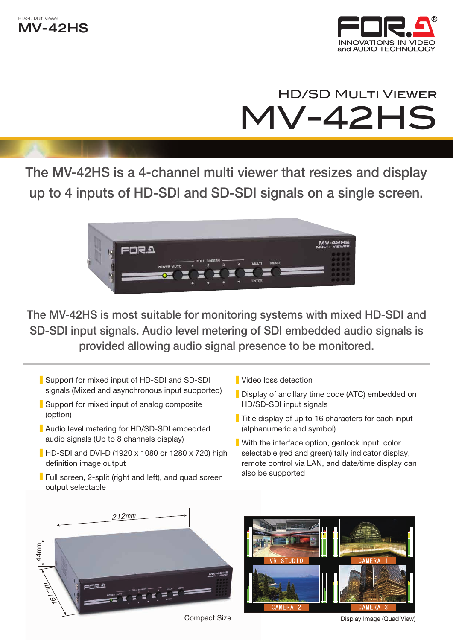



# **HD/SD MULTI VIEWER** MV-42HS

The MV-42HS is a 4-channel multi viewer that resizes and display up to 4 inputs of HD-SDI and SD-SDI signals on a single screen.



The MV-42HS is most suitable for monitoring systems with mixed HD-SDI and SD-SDI input signals. Audio level metering of SDI embedded audio signals is provided allowing audio signal presence to be monitored.

- Support for mixed input of HD-SDI and SD-SDI signals (Mixed and asynchronous input supported)
- Support for mixed input of analog composite (option)
- Audio level metering for HD/SD-SDI embedded audio signals (Up to 8 channels display)
- HD-SDI and DVI-D (1920 x 1080 or 1280 x 720) high definition image output
- Full screen, 2-split (right and left), and quad screen output selectable
- la Video loss detection
- Display of ancillary time code (ATC) embedded on HD/SD-SDI input signals
- **Title display of up to 16 characters for each input** (alphanumeric and symbol)
- With the interface option, genlock input, color selectable (red and green) tally indicator display, remote control via LAN, and date/time display can also be supported





Compact Size Compact Size Compact Size Compact Size Compact Size Compact Size Compact Size Compact Size Compact Size Compact Size Compact Size Compact Size Compact Size Compact Size Compact Size Compact Size Compact Size C